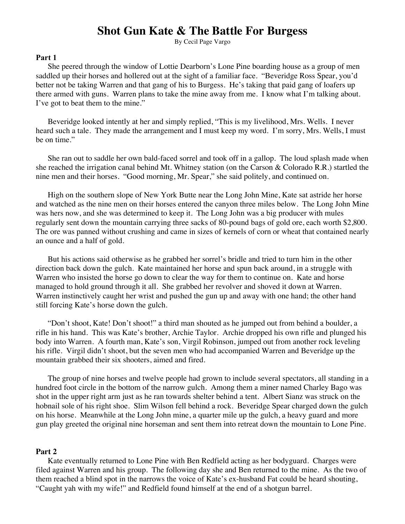## **Shot Gun Kate & The Battle For Burgess**

By Cecil Page Vargo

## **Part 1**

She peered through the window of Lottie Dearborn's Lone Pine boarding house as a group of men saddled up their horses and hollered out at the sight of a familiar face. "Beveridge Ross Spear, you'd better not be taking Warren and that gang of his to Burgess. He's taking that paid gang of loafers up there armed with guns. Warren plans to take the mine away from me. I know what I'm talking about. I've got to beat them to the mine."

Beveridge looked intently at her and simply replied, "This is my livelihood, Mrs. Wells. I never heard such a tale. They made the arrangement and I must keep my word. I'm sorry, Mrs. Wells, I must be on time."

She ran out to saddle her own bald-faced sorrel and took off in a gallop. The loud splash made when she reached the irrigation canal behind Mt. Whitney station (on the Carson & Colorado R.R.) startled the nine men and their horses. "Good morning, Mr. Spear," she said politely, and continued on.

High on the southern slope of New York Butte near the Long John Mine, Kate sat astride her horse and watched as the nine men on their horses entered the canyon three miles below. The Long John Mine was hers now, and she was determined to keep it. The Long John was a big producer with mules regularly sent down the mountain carrying three sacks of 80-pound bags of gold ore, each worth \$2,800. The ore was panned without crushing and came in sizes of kernels of corn or wheat that contained nearly an ounce and a half of gold.

But his actions said otherwise as he grabbed her sorrel's bridle and tried to turn him in the other direction back down the gulch. Kate maintained her horse and spun back around, in a struggle with Warren who insisted the horse go down to clear the way for them to continue on. Kate and horse managed to hold ground through it all. She grabbed her revolver and shoved it down at Warren. Warren instinctively caught her wrist and pushed the gun up and away with one hand; the other hand still forcing Kate's horse down the gulch.

"Don't shoot, Kate! Don't shoot!" a third man shouted as he jumped out from behind a boulder, a rifle in his hand. This was Kate's brother, Archie Taylor. Archie dropped his own rifle and plunged his body into Warren. A fourth man, Kate's son, Virgil Robinson, jumped out from another rock leveling his rifle. Virgil didn't shoot, but the seven men who had accompanied Warren and Beveridge up the mountain grabbed their six shooters, aimed and fired.

The group of nine horses and twelve people had grown to include several spectators, all standing in a hundred foot circle in the bottom of the narrow gulch. Among them a miner named Charley Bago was shot in the upper right arm just as he ran towards shelter behind a tent. Albert Sianz was struck on the hobnail sole of his right shoe. Slim Wilson fell behind a rock. Beveridge Spear charged down the gulch on his horse. Meanwhile at the Long John mine, a quarter mile up the gulch, a heavy guard and more gun play greeted the original nine horseman and sent them into retreat down the mountain to Lone Pine.

## **Part 2**

Kate eventually returned to Lone Pine with Ben Redfield acting as her bodyguard. Charges were filed against Warren and his group. The following day she and Ben returned to the mine. As the two of them reached a blind spot in the narrows the voice of Kate's ex-husband Fat could be heard shouting, "Caught yah with my wife!" and Redfield found himself at the end of a shotgun barrel.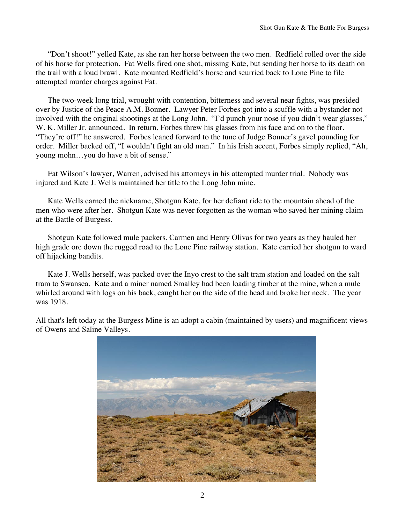"Don't shoot!" yelled Kate, as she ran her horse between the two men. Redfield rolled over the side of his horse for protection. Fat Wells fired one shot, missing Kate, but sending her horse to its death on the trail with a loud brawl. Kate mounted Redfield's horse and scurried back to Lone Pine to file attempted murder charges against Fat.

The two-week long trial, wrought with contention, bitterness and several near fights, was presided over by Justice of the Peace A.M. Bonner. Lawyer Peter Forbes got into a scuffle with a bystander not involved with the original shootings at the Long John. "I'd punch your nose if you didn't wear glasses," W. K. Miller Jr. announced. In return, Forbes threw his glasses from his face and on to the floor. "They're off!" he answered. Forbes leaned forward to the tune of Judge Bonner's gavel pounding for order. Miller backed off, "I wouldn't fight an old man." In his Irish accent, Forbes simply replied, "Ah, young mohn…you do have a bit of sense."

Fat Wilson's lawyer, Warren, advised his attorneys in his attempted murder trial. Nobody was injured and Kate J. Wells maintained her title to the Long John mine.

Kate Wells earned the nickname, Shotgun Kate, for her defiant ride to the mountain ahead of the men who were after her. Shotgun Kate was never forgotten as the woman who saved her mining claim at the Battle of Burgess.

Shotgun Kate followed mule packers, Carmen and Henry Olivas for two years as they hauled her high grade ore down the rugged road to the Lone Pine railway station. Kate carried her shotgun to ward off hijacking bandits.

Kate J. Wells herself, was packed over the Inyo crest to the salt tram station and loaded on the salt tram to Swansea. Kate and a miner named Smalley had been loading timber at the mine, when a mule whirled around with logs on his back, caught her on the side of the head and broke her neck. The year was 1918.

All that's left today at the Burgess Mine is an adopt a cabin (maintained by users) and magnificent views of Owens and Saline Valleys.